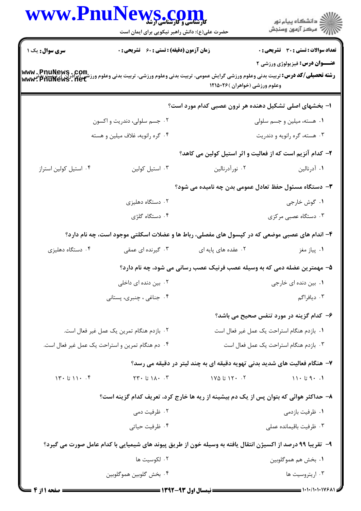|                       | WWW.PnuNews.com                                                                                                                                                            |                                |                                                                           |  |
|-----------------------|----------------------------------------------------------------------------------------------------------------------------------------------------------------------------|--------------------------------|---------------------------------------------------------------------------|--|
|                       | حضرت علی(ع): دانش راهبر نیکویی برای ایمان است                                                                                                                              |                                | ِ<br>∭ دانشڪاه پيام نور<br>∭ مرڪز آزمون وسنڊش                             |  |
| سری سوال: یک ۱        | زمان آزمون (دقیقه) : تستی : 60 ٪ تشریحی : 0                                                                                                                                |                                | <b>تعداد سوالات : تستی : 30 ٪ تشریحی : 0</b>                              |  |
|                       | www . PnuNews . Com<br>رشته تحصیلی/کد درس: تربیت بدنی وعلوم ورزشی گرایش عمومی، تربیت بدنی وعلوم ورزشی، تربیت بدنی وعلوم ورزشی (براذران)، تربیت بدنی<br>www . PnuNews . net |                                | <b>عنــوان درس:</b> فیزیولوژی ورزشی ۲                                     |  |
|                       |                                                                                                                                                                            | وعلوم ورزشي (خواهران )۲۱۵۰۲۶ ا |                                                                           |  |
|                       |                                                                                                                                                                            |                                | ا- بخشهای اصلی تشکیل دهنده هر نرون عصبی کدام مورد است؟                    |  |
|                       | ۰۲ جسم سلولی، دندریت و اکسون                                                                                                                                               |                                | ۰۱ هسته، میلین و جسم سلولی                                                |  |
|                       | ۰۴ گره رانویه، غلاف میلین و هسته                                                                                                                                           |                                | ۰۳ هسته، گره رانویه و دندریت                                              |  |
|                       |                                                                                                                                                                            |                                | ۲- کدام آنزیم است که از فعالیت و اثر استیل کولین می کاهد؟                 |  |
| ۰۴ استیل کولین استراز | ۰۳ استيل كولين                                                                                                                                                             | ۰۲ نورآدرنالین                 | ۰۱ آدرنالین                                                               |  |
|                       |                                                                                                                                                                            |                                | ۳- دستگاه مسئول حفظ تعادل عمومی بدن چه نامیده می شود؟                     |  |
|                       | ۰۲ دستگاه دهلیزی                                                                                                                                                           |                                | ۰۱ گوش خارجي                                                              |  |
|                       | ۰۴ دستگاه گلژی                                                                                                                                                             |                                | ۰۳ دستگاه عصبی مرکزی                                                      |  |
|                       | ۴- اندام های عصبی موضعی که در کپسول های مفصلی، رباط ها و عضلات اسکلتی موجود است، چه نام دارد؟                                                                              |                                |                                                                           |  |
| ۰۴ دستگاه دهلیزی      | ۰۳ گیرنده ای عمقی                                                                                                                                                          | ۰۲ عقده های پایه ای            | ۰۱ پیاز مغز                                                               |  |
|                       |                                                                                                                                                                            |                                | ۵– مهمترین عضله دمی که به وسیله عصب فرنیک عصب رسانی می شود، چه نام دارد؟  |  |
|                       | ۰۲ بین دنده ای داخلی                                                                                                                                                       |                                | ۰۱ بین دنده ای خارجی                                                      |  |
|                       | ۰۴ جناغی ، چنبری، پستانی                                                                                                                                                   |                                | ۰۳ دیافراگم                                                               |  |
|                       |                                                                                                                                                                            |                                | ۶– کدام گزینه در مورد تنفس صحیح می باشد؟                                  |  |
|                       | ٠٢ بازدم هنگام تمرين يک عمل غير فعال است.                                                                                                                                  |                                | ٠١. بازدم هنگام استراحت يک عمل غير فعال است                               |  |
|                       | ۰۴ دم هنگام تمرین و استراحت یک عمل غیر فعال است.                                                                                                                           |                                | ۰۳ بازدم هنگام استراحت یک عمل فعال است                                    |  |
|                       |                                                                                                                                                                            |                                | ۷- هنگام فعالیت های شدید بدنی تهویه دقیقه ای به چند لیتر در دقیقه می رسد؟ |  |
| $17. i11.$ تا $11.$   | ۲۳۰ تا ۲۳۰ $\lambda$ ۰ تا                                                                                                                                                  | ۰۲ ۱۲۰ تا ۱۷۵                  | 11.9.1                                                                    |  |
|                       | ۸– حداکثر هوائی که بتوان پس از یک دم بیشینه از ریه ها خارج کرد، تعریف کدام گزینه است؟                                                                                      |                                |                                                                           |  |
|                       | ۰۲ ظرفیت دمی                                                                                                                                                               |                                | ۰۱ ظرفیت بازدمی                                                           |  |
|                       | ۰۴ ظرفیت حیاتی                                                                                                                                                             |                                | ۰۳ ظرفیت باقیمانده عملی                                                   |  |
|                       | ۹– تقریبا ۹۹ درصد از اکسیژن انتقال یافته به وسیله خون از طریق پیوند های شیمیایی با کدام عامل صورت می گیرد؟                                                                 |                                |                                                                           |  |
|                       | ۰۲ لکوسیت ها                                                                                                                                                               |                                | ٠١. بخش هم هموگلوبين                                                      |  |
|                       | ۴. بخش گلوبين هموگلوبين                                                                                                                                                    |                                | ۰۳ اریتروسیت ها                                                           |  |
|                       |                                                                                                                                                                            |                                |                                                                           |  |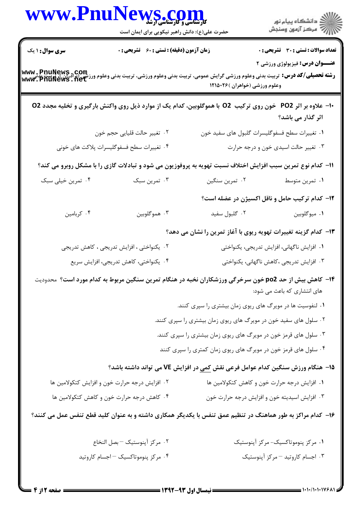|                                    | WWW.PnuNews.com<br>حضرت علی(ع): دانش راهبر نیکویی برای ایمان است                                             |                                                                  | ِ<br>∭ دانشڪاه پيام نور<br>∭ مرڪز آزمون وسنڊش          |
|------------------------------------|--------------------------------------------------------------------------------------------------------------|------------------------------------------------------------------|--------------------------------------------------------|
| <b>سری سوال :</b> ۱ یک             | <b>زمان آزمون (دقیقه) : تستی : 60 ٪ تشریحی : 0</b>                                                           |                                                                  | تعداد سوالات : تستي : 30 - تشريحي : 0                  |
| www.PnuNews.com<br>www.PnuNews.net | <b>رشته تحصیلی/کد درس:</b> تربیت بدنی وعلوم ورزشی گرایش عمومی، تربیت بدنی وعلوم ورزشی، تربیت بدنی وعلو       | وعلوم ورزشي (خواهران )۲۱۵۰۲۶                                     | <b>عنــوان درس:</b> فیزیولوژی ورزشی ۲                  |
|                                    | ۱۰- علاوه بر اثر PO2٪ خون روی ترکیب  O2 با هموگلوبین، کدام یک از موارد ذیل روی واکنش بارگیری و تخلیه مجدد O2 |                                                                  | اثر گذار می باشد؟                                      |
|                                    | ٢. تغيير حالت قليايي حجم خون                                                                                 | ٠١ تغييرات سطح فسفوگليسرات گلبول هاي سفيد خون                    |                                                        |
|                                    | ۰۴ تغییرات سطح فسفوگلیسرات پلاکت های خونی                                                                    |                                                                  | ۰۳ تغییر حالت اسیدی خون و درجه حرارت                   |
|                                    | 11– کدام نوع تمرین سبب افزایش اختلاف نسبت تهویه به پروفوزیون می شود و تبادلات گازی را با مشکل روبرو می کند؟  |                                                                  |                                                        |
| ۰۴ تمرین خیلی سبک                  | ۰۳ تمرين سبک                                                                                                 | ۰۲ تمرین سنگین                                                   | ٠١ تمرين متوسط                                         |
|                                    |                                                                                                              |                                                                  | <b>۱۲</b> - کدام ترکیب حامل و ناقل اکسیژن در عضله است؟ |
| ۰۴ كربامين                         | ۰۳ هموگلوبين                                                                                                 | ۰۲ گلبول سفید                                                    | ۰۱ میوگلوبین                                           |
|                                    |                                                                                                              | ۱۳– کدام گزینه تغییرات تهویه ریوی با آغاز تمرین را نشان می دهد؟  |                                                        |
|                                    | ۰۲ یکنواختی ، افزایش تدریجی ، کاهش تدریجی                                                                    |                                                                  | ٠١ افزايش ناگهانى، افزايش تدريجى، يكنواختى             |
|                                    | ۰۴ یکنواختی، کاهش تدریجی، افزایش سریع                                                                        |                                                                  | ۰۳ افزایش تدریجی ،کاهش ناگهانی، یکنواختی               |
|                                    | ۱۴- کاهش بیش از حد po2 خون سرخرگی ورزشکاران نخبه در هنگام تمرین سنگین مربوط به کدام مورد است؟ محدودیت        |                                                                  | های انتشاری که باعث می شود:                            |
|                                    |                                                                                                              | ۰۱ لنفوسیت ها در مویرگ های ریوی زمان بیشتری را سپری کنند.        |                                                        |
|                                    |                                                                                                              | ۰۲ سلول های سفید خون در مویرگ های ریوی زمان بیشتری را سپری کنند. |                                                        |
|                                    |                                                                                                              | ۰۳ سلول های قرمز خون در مویرگ های ریوی زمان بیشتری را سپری کنند. |                                                        |
|                                    |                                                                                                              | ۰۴ سلول های قرمز خون در مویرگ های ریوی زمان کمتری را سپری کنند   |                                                        |
|                                    | 1۵– هنگام ورزش سنگین کدام عوامل فرعی نقش کمی در افزایش VE می تواند داشته باشد؟                               |                                                                  |                                                        |
|                                    | ۰۲ افزایش درجه حرارت خون و افزایش کتکولامین ها                                                               |                                                                  | ٠١ افزايش درجه حرارت خون و كاهش كتكولامين ها           |
|                                    | ۰۴ کاهش درجه حرارت خون و کاهش کتکولامین ها                                                                   |                                                                  | ۰۳ افزایش اسیدیته خون و افزایش درجه حرارت خون          |
|                                    | ۱۶– کدام مراکز به طور هماهنگ در تنظیم عمق تنفس با یکدیگر همکاری داشته و به عنوان کلید قطع تنفس عمل می کنند؟  |                                                                  |                                                        |
|                                    | ٠٢ مركز آپنوستيک - بصل النخاع                                                                                |                                                                  | ۰۱ مرکز پنوموتاکسیک-مرکز آپنوستیک                      |
|                                    | ۰۴ مرکز بنوموتاکسیک - اجسام کاروتید                                                                          |                                                                  | ۰۳ اجسام کاروتید - مرکز آینوستیک                       |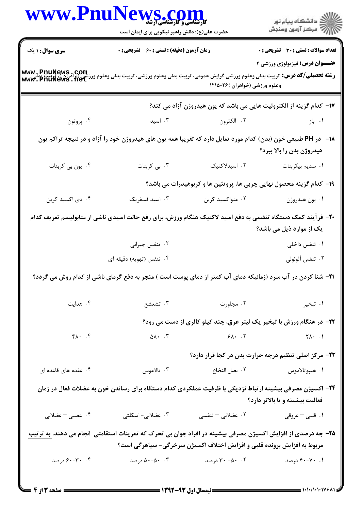|                          | www.PnuNews.com<br>حضرت علی(ع): دانش راهبر نیکویی برای ایمان است                                                                                                                                                                                                  |                   | ڪ دانشڪاه پيام نور<br>//> مرڪز آزمون وسنڊش                                                                                                                                                              |  |
|--------------------------|-------------------------------------------------------------------------------------------------------------------------------------------------------------------------------------------------------------------------------------------------------------------|-------------------|---------------------------------------------------------------------------------------------------------------------------------------------------------------------------------------------------------|--|
| <b>سری سوال :</b> ۱ یک   | <b>زمان آزمون (دقیقه) : تستی : 60 ٪ تشریحی : 0</b>                                                                                                                                                                                                                |                   | <b>تعداد سوالات : تستی : 30 ٪ تشریحی : 0</b>                                                                                                                                                            |  |
|                          | <b>عنــوان درس:</b> فیزیولوژی ورزشی ۲<br><b>www , PnuNews , Com</b><br>و <b>شته تحصیلی/کد درس:</b> تربیت بدنی وعلوم ورزشی گرایش عمومی، تربیت بدنی وعلوم ورزشی، تربیت وداوم ورزشی (برادران )، پزیب<br><b>www , PnuNews , net</b><br>وعلوم ورزشي (خواهران )۲۶۵۰۲۶ ا |                   |                                                                                                                                                                                                         |  |
|                          |                                                                                                                                                                                                                                                                   |                   | ۱۷–  کدام گزینه از الکترولیت هایی می باشد که یون هیدروژن آزاد می کند؟                                                                                                                                   |  |
| ۰۴ پروتون                | ۰۳ اسید                                                                                                                                                                                                                                                           | ۰۲ الکترون        | ۰۱ باز                                                                                                                                                                                                  |  |
|                          |                                                                                                                                                                                                                                                                   |                   | ۱۸− در PH طبیعی خون (بدن) کدام مورد تمایل دارد که تقریبا همه یون های هیدروژن خود را آزاد و در نتیجه تراکم یون<br>هیدروژن بدن را بالا ببرد؟                                                              |  |
| ۰۴ یون بی کربنات         | ۰۳ بی کربنات                                                                                                                                                                                                                                                      | ٠٢ اسيدلاكتيک     | ٠١ سديم بيكربنات                                                                                                                                                                                        |  |
|                          |                                                                                                                                                                                                                                                                   |                   | ۱۹- کدام گزینه محصول نهایی چربی ها، پروتئین ها و کربوهیدرات می باشد؟                                                                                                                                    |  |
| ۰۴ دی اکسید کربن         | ۰۳ اسید فسفریک                                                                                                                                                                                                                                                    | ۰۲ منواکسید کربن  | ٠١. يون هيدروژن                                                                                                                                                                                         |  |
|                          |                                                                                                                                                                                                                                                                   |                   | +۲- فرآیند کمک دستگاه تنفسی به دفع اسید لاکتیک هنگام ورزش، برای رفع حالت اسیدی ناشی از متابولیسم تعریف کدام<br>یک از موارد ذیل می باشد؟                                                                 |  |
|                          | ۰۲ تنفس جبراني                                                                                                                                                                                                                                                    |                   | ۰۱ تنفس داخلی                                                                                                                                                                                           |  |
|                          | ۰۴ تنفس (تهویه) دقیقه ای                                                                                                                                                                                                                                          |                   | ۰۳ تنفس آلوئولي                                                                                                                                                                                         |  |
|                          |                                                                                                                                                                                                                                                                   |                   | <b>۳۱</b> – شنا کردن در آب سرد (زمانیکه دمای آب کمتر از دمای پوست است ) منجر به دفع گرمای ناشی از کدام روش می گردد؟                                                                                     |  |
| ۰۴ هدایت                 | ۰۳ تشعشع                                                                                                                                                                                                                                                          | ۰۲ مجاورت         | ۰۱ تبخیر                                                                                                                                                                                                |  |
|                          |                                                                                                                                                                                                                                                                   |                   | ۲۲- در هنگام ورزش با تبخیر یک لیتر عرق، چند کیلو کالری از دست می رود؟                                                                                                                                   |  |
| $f \wedge \cdot \cdot f$ | $\Delta \lambda$ . $\zeta$                                                                                                                                                                                                                                        | $9\lambda$ . T    | $Y\wedge \cdot \cdot \cdot \cdot$                                                                                                                                                                       |  |
|                          |                                                                                                                                                                                                                                                                   |                   | ۲۳- مرکز اصلی تنظیم درجه حرارت بدن در کجا قرار دارد؟                                                                                                                                                    |  |
| ۰۴ عقده های قاعده ای     | ۰۳ تالاموس                                                                                                                                                                                                                                                        | ٠٢ بصل النخاع     | ۰۱ هيپوتالاموس                                                                                                                                                                                          |  |
|                          |                                                                                                                                                                                                                                                                   |                   | ۲۴– اکسیژن مصرفی بیشینه ارتباط نزدیکی با ظرفیت عملکردی کدام دستگاه برای رساندن خون به عضلات فعال در زمان<br>فعالیت بیشینه و یا بالاتر دارد؟                                                             |  |
| ۰۴ عصبی - عضلانی         | ۰۳ عضلانی- اسکلتی                                                                                                                                                                                                                                                 | ۰۲ عضلانی – تنفسی | ٠١. قلبي – عروقي                                                                                                                                                                                        |  |
|                          |                                                                                                                                                                                                                                                                   |                   | <b>۲۵</b> – چه درصدی از افزایش اکسیژن مصرفی بیشینه در افراد جوان بی تحرک که تمرینات استقامتی  انجام می دهند، <u>به ترتیب</u><br>مربوط به افزایش برونده قلبی و افزایش اختلاف اکسیژن سرخرگی- سیاهرگی است؟ |  |
|                          |                                                                                                                                                                                                                                                                   |                   |                                                                                                                                                                                                         |  |